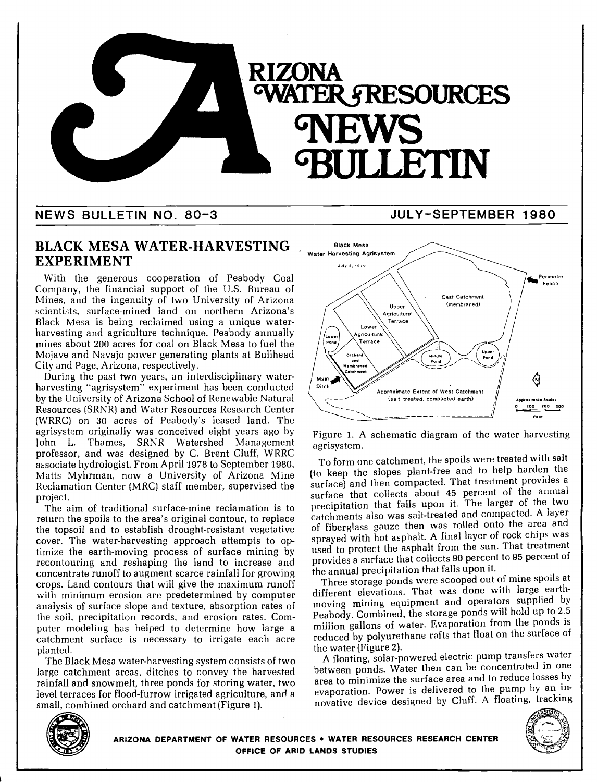

# NEWS BULLETIN NO. 80-3 JULY-SEPTEMBER 1980

## BLACK MESA WATER-HARVESTING EXPERIMENT

With the generous cooperation of Peabody Coal Company, the financial support of the U.S. Bureau of Mines, and the ingenuity of two University of Arizona scientists, surface-mined land on northern Arizona's Black Mesa is being reclaimed using a unique waterharvesting and agriculture technique. Peabody annually mines about 200 acres for coal on Black Mesa to fuel the Mojave and Navajo power generating plants at Bullhead City and Page, Arizona, respectively.

During the past two years, an interdisciplinary waterharvesting "agrisystem" experiment has been conducted by the University of Arizona School of Renewable Natural Resources (SRNR) and Water Resources Research Center (WRRC) on 30 acres of Peabody's leased land. The agrisystem originally was conceived eight years ago by John L. Thames, SRNR Watershed Management professor, and was designed by C. Brent Cluff, WRRC associate hydrologist. From April 1978 to September 1980, Matts Myhrman, now a University of Arizona Mine Reclamation Center (MRC) staff member, supervised the project.

The aim of traditional surface-mine reclamation is to return the spoils to the area's original contour, to replace the topsoil and to establish drought-resistant vegetative cover. The water-harvesting approach attempts to optimize the earth-moving process of surface mining by recontouring and reshaping the land to increase and concentrate runoff to augment scarce rainfall for growing crops. Land contours that will give the maximum runoff with minimum erosion are predetermined by computer analysis of surface slope and texture, absorption rates of the soil, precipitation records, and erosion rates. Com- puter modeling has helped to determine how large a catchment surface is necessary to irrigate each acre planted.

The Black Mesa water-harvesting system consists of two large catchment areas, ditches to convey the harvested rainfall and snowmelt, three ponds for storing water, two level terraces for flood-furrow irrigated agriculture, and a small, combined orchard and catchment (Figure 1).



Figure 1. A schematic diagram of the water harvesting agrisystem.

To form one catchment, the spoils were treated with salt (to keep the slopes plant-free and to help harden the surface) and then compacted. That treatment provides a surface that collects about 45 percent of the annual precipitation that falls upon it. The larger of the two catchments also was salt-treated and compacted. A layer of fiberglass gauze then was rolled onto the area and sprayed with hot asphalt. A final layer of rock chips was used to protect the asphalt from the sun. That treatment provides a surface that collects 90 percent to 95 percent of the annual precipitation that falls upon it.

Three storage ponds were scooped out of mine spoils at different elevations. That was done with large earthmoving mining equipment and operators supplied by Peabody. Combined, the storage ponds will hold up to 2.5 million gallons of water. Evaporation from the ponds is reduced by polyurethane rafts that float on the surface of the water (Figure 2).

A floating, solar-powered electric pump transfers water between ponds. Water then can be concentrated in one area to minimize the surface area and to reduce losses by evaporation. Power is delivered to the pump by an innovative device designed by Cluff. A floating, tracking





ARIZONA DEPARTMENT OF WATER RESOURCES . WATER RESOURCES RESEARCH CENTER OFFICE OF ARID LANDS STUDiES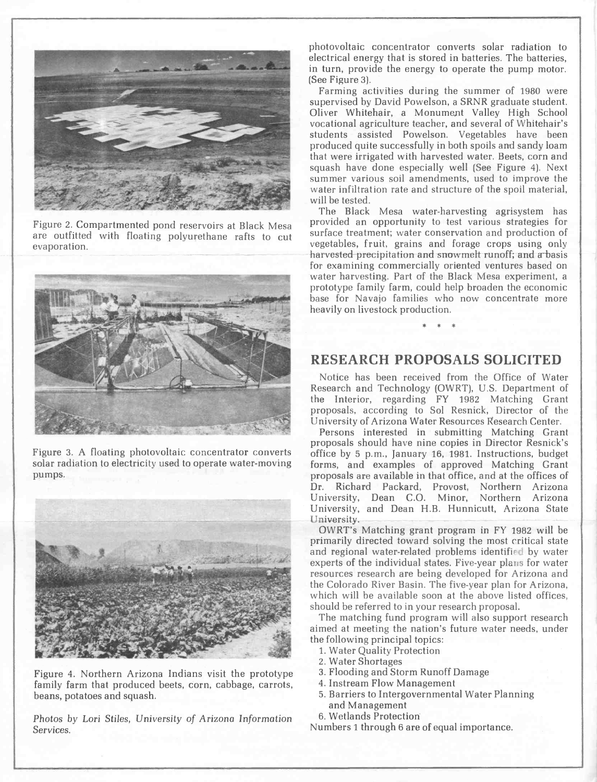

evaporation.



Figure 3. A floating photovoltaic concentrator converts solar radiation to electricity used to operate water-moving pumps.



Figure 4. Northern Arizona Indians visit the prototype family farm that produced beets, corn, cabbage, carrots, beans, potatoes and squash.

Photos by Lori Stiles, University of Arizona Information Services.

photovoltaic concentrator converts solar radiation to electrical energy that is stored in batteries. The batteries, in turn, provide the energy to operate the pump motor. (See Figure 3).

Farming activities during the summer of <sup>1980</sup> were supervised by David Powelson, a SRNR graduate student. Oliver Whitehair, a Monument Valley High School vocational agriculture teacher, and several of Whitehair's students assisted Powelson. Vegetables have been produced quite successfully in both spoils and sandy loam that were irrigated with harvested water. Beets, corn and squash have done especially well (See Figure 4). Next summer various soil amendments, used to improve the water infiltration rate and structure of the spoil material, will be tested.

Figure 2. Compartmented pond reservoirs at Black Mesa provided an opportunity to test various strategies for are outfitted with floating polyurethane rafts to cut surface treatment; water conservation and production of The Black Mesa water-harvesting agrisystem has provided an opportunity to test various strategies for vegetables, fruit, grains and forage crops using only harvested precipitation and snowmelt runoff; and a basis for examining commercially oriented ventures based on water harvesting. Part of the Black Mesa experiment, a prototype family farm, could help broaden the economic base for Navajo families who now concentrate more heavily on livestock production.

### RESEARCH PROPOSALS SOLICITED

\* \* \*

Notice has been received from the Office of Water Research and Technology (OWRT), U.S. Department of the Interior, regarding FY <sup>1982</sup> Matching Grant proposals, according to Sol Resnick, Director of the University of Arizona Water Resources Research Center.

Persons interested in submitting Matching Grant proposals should have nine copies in Director Resnick's office by 5 p.m., January 16, 1981. Instructions, budget forms, and examples of approved Matching Grant proposals are available in that office, and at the offices of Dr. Richard Packard, Provost, Northern Arizona University, Dean C.O. Minor, Northern Arizona University, and Dean H.B. Hunnicutt, Arizona State University.<br>
OWRT's Matching grant program in FY 1982 will be

primarily directed toward solving the most critical state and regional water-related problems identified by water experts of the individual states. Five-year plans for water resources research are being developed for Arizona and the Colorado River Basin. The five-year plan for Arizona, which will he available soon at the above listed offices, should be referred to in your research proposal.

The matching fund program will also support research aimed at meeting the nation's future water needs, under the following principal topics:

- 1. Water Quality Protection
- Water Shortages
- Flooding and Storm Runoff Damage
- 4. Instream Flow Management
- 5. Barriers to Intergovernmental Water Planning and Management
- 6. Wetlands Protection

Numbers 1 through 6 are of equal importance.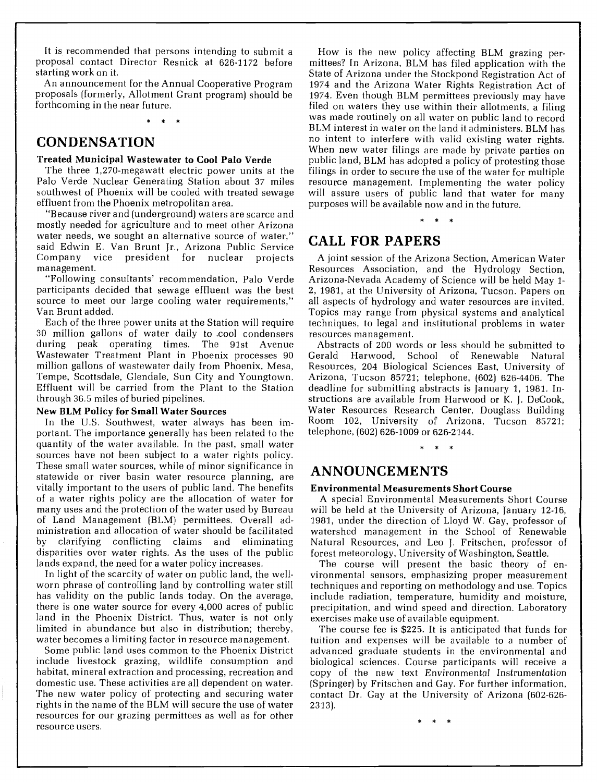It is recommended that persons intending to submit a proposal contact Director Resnick at 626-1172 before starting work on it.

An announcement for the Annual Cooperative Program proposals (formerly, Allotment Grant program) should be forthcoming in the near future.

\* \* \*

# **CONDENSATION**

#### Treated Municipal Wastewater to Cool Palo Verde

The three 1,270-megawatt electric power units at the Palo Verde Nuclear Generating Station about 37 miles southwest of Phoenix will be cooled with treated sewage will assure users of public land that water for many effluent from the Phoenix metropolitan area.

"Because river and (underground) waters are scarce and mostly needed for agriculture and to meet other Arizona water needs, we sought an alternative source of water," said Edwin E. Van Brunt Jr., Arizona Public Service Company vice president for nuclear projects management.

"Following consultants' recommendation, Palo Verde participants decided that sewage effluent was the best source to meet our large cooling water requirements," Van Brunt added.

Each of the three power units at the Station will require 30 million gallons of water daily to cool condensers during peak operating times. The 91st Avenue Wastewater Treatment Plant in Phoenix processes 90 Gerald million gallons of wastewater daily from Phoenix, Mesa, Tempe, Scottsdale, Glendale, Sun City and Youngtown. Effluent will be carried from the Plant to the Station through 36.5 miles of buried pipelines.

#### New BLM Policy for Small Water Sources

In the U.S. Southwest, water always has been important. The importance generally has been related to the quantity of the water available. In the past, small water sources have not been subject to a water rights policy. These small water sources, while of minor significance in statewide or river basin water resource planning, are vitally important to the users of public land. The benefits of a water rights policy are the allocation of water for many uses and the protection of the water used by Bureau of Land Management (BLM) permittees. Overall administration and allocation of water should be facilitated by clarifying conflicting claims and eliminating Natural-Resources, and Leo J. Fritschen, professor of disparities over water rights. As the uses of the public forest meteorology, University of Washington, Seattle. lands expand, the need for a water policy increases.

In light of the scarcity of water on public land, the wellworn phrase of controlling land by controlling water still has validity on the public lands today. On the average, there is one water source for every 4,000 acres of public land in the Phoenix District. Thus, water is not only limited in abundance but also in distribution; thereby, water becomes a limiting factor in resource management.

include livestock grazing, wildlife consumption and habitat, mineral extraction and processing, recreation and domestic use. These activities are all dependent on water. The new water policy of protecting and securing water rights in the name of the BLM will secure the use of water resources for our grazing permittees as well as for other resource users.

How is the new policy affecting BLM grazing permittees? In Arizona, BLM has filed application with the State of Arizona under the Stockpond Registration Act of 1974 and the Arizona Water Rights Registration Act of 1974. Even though BLM permittees previously may have filed on waters they use within their allotments, a filing was made routinely on all water on public land to record BLM interest in water on the land it administers. BLM has no intent to interfere with valid existing water rights. When new water filings are made by private parties on public land, BLM has adopted a policy of protesting those filings in order to secure the use of the water for multiple resource management. Implementing the water policy purposes will be available now and in the future.

#### \* \* \*

## CALL FOR PAPERS

A joint session of the Arizona Section, American Water Resources Association, and the Hydrology Section, Arizona-Nevada Academy of Science will be held May 1- 2, 1981, at the University of Arizona, Tucson. Papers on all aspects of hydrology and water resources are invited. Topics may range from physical systems and analytical techniques, to legal and institutional problems in water resources management.

Abstracts of 200 words or less should be submitted to Harwood, School of Renewable Natural Resources, 204 Biological Sciences East, University of Arizona, Tucson 85721; telephone, (602) 626-4406. The deadline for submitting abstracts is January 1, 1981. Instructions are available from Harwood or K. J. DeCook, Water Resources Research Center, Douglass Building Room 102, University of Arizona, Tucson 85721; telephone, (602) 626-1009 or 626-2144.

\* \* \*

### ANNOUNCEMENTS

#### Environmental Measurements Short Course

A special Environmental Measurements Short Course will be held at the University of Arizona, January 12-16, 1981, under the direction of Lloyd W. Gay, professor of watershed management in the School of Renewable

The course will present the basic theory of environmental sensors, emphasizing proper measurement techniques and reporting on methodology and use. Topics include radiation, temperature, humidity and moisture, precipitation, and wind speed and direction. Laboratory exercises make use of available equipment.

Some public land uses common to the Phoenix District The course fee is \$225. It is anticipated that funds for tuition and expenses will be available to a number of biological sciences. Course participants will receive a copy of the new text Environmental Instrumentation (Springer) by Fritschen and Gay. For further information, contact Dr. Gay at the University of Arizona (602-626- 23 13).

\* \* \*